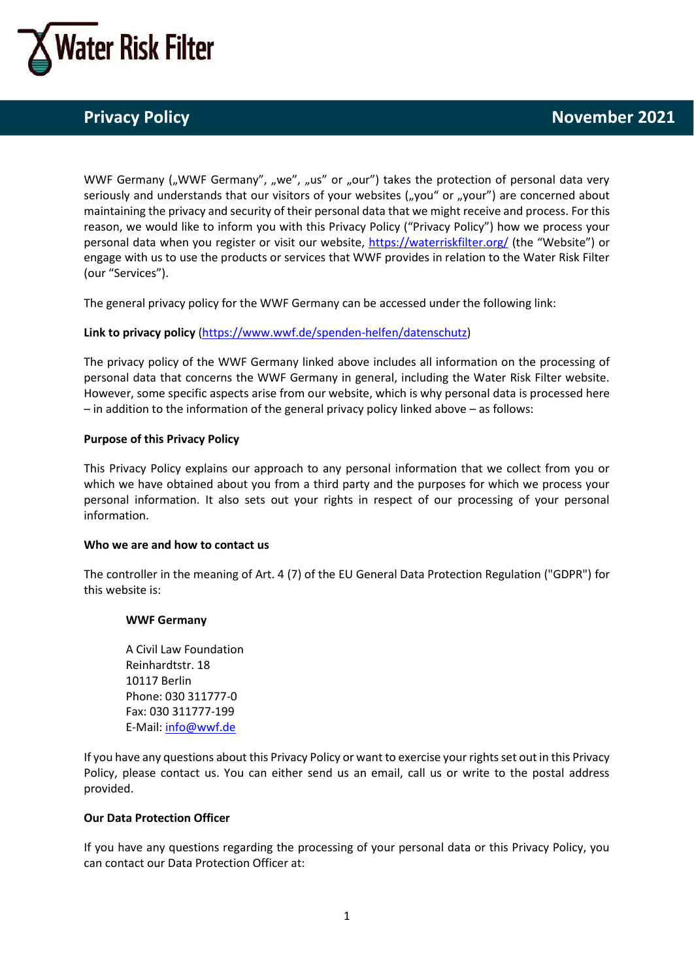

WWF Germany ("WWF Germany", "we", "us" or "our") takes the protection of personal data very seriously and understands that our visitors of your websites  $(y, y, y, z)$  or  $(y, y, z)$  are concerned about maintaining the privacy and security of their personal data that we might receive and process. For this reason, we would like to inform you with this Privacy Policy ("Privacy Policy") how we process your personal data when you register or visit our website, <https://waterriskfilter.org/> (the "Website") or engage with us to use the products or services that WWF provides in relation to the Water Risk Filter (our "Services").

The general privacy policy for the WWF Germany can be accessed under the following link:

# **Link to privacy policy** [\(https://www.wwf.de/spenden-helfen/datenschutz\)](https://eur04.safelinks.protection.outlook.com/?url=https%3A%2F%2Fwww.wwf.de%2Fspenden-helfen%2Fdatenschutz&data=04%7C01%7CAriane.Laporte-Bisquit%40wwf.de%7C06948e8e548046b448fb08d9720bf2a2%7C06adf4349aae4c878a6a0b06ba0813d8%7C0%7C0%7C637666218818256571%7CUnknown%7CTWFpbGZsb3d8eyJWIjoiMC4wLjAwMDAiLCJQIjoiV2luMzIiLCJBTiI6Ik1haWwiLCJXVCI6Mn0%3D%7C1000&sdata=bCYnu7n48GZu70XWyp3glo9nWUACbkG8PkaLIgDSTVo%3D&reserved=0)

The privacy policy of the WWF Germany linked above includes all information on the processing of personal data that concerns the WWF Germany in general, including the Water Risk Filter website. However, some specific aspects arise from our website, which is why personal data is processed here – in addition to the information of the general privacy policy linked above – as follows:

# **Purpose of this Privacy Policy**

This Privacy Policy explains our approach to any personal information that we collect from you or which we have obtained about you from a third party and the purposes for which we process your personal information. It also sets out your rights in respect of our processing of your personal information.

# **Who we are and how to contact us**

The controller in the meaning of Art. 4 (7) of the EU General Data Protection Regulation ("GDPR") for this website is:

# **WWF Germany**

A Civil Law Foundation Reinhardtstr. 18 10117 Berlin Phone: 030 311777-0 Fax: 030 311777-199 E-Mail: [info@wwf.de](mailto:info@wwf.de)

If you have any questions about this Privacy Policy or want to exercise your rights set out in this Privacy Policy, please contact us. You can either send us an email, call us or write to the postal address provided.

# **Our Data Protection Officer**

If you have any questions regarding the processing of your personal data or this Privacy Policy, you can contact our Data Protection Officer at: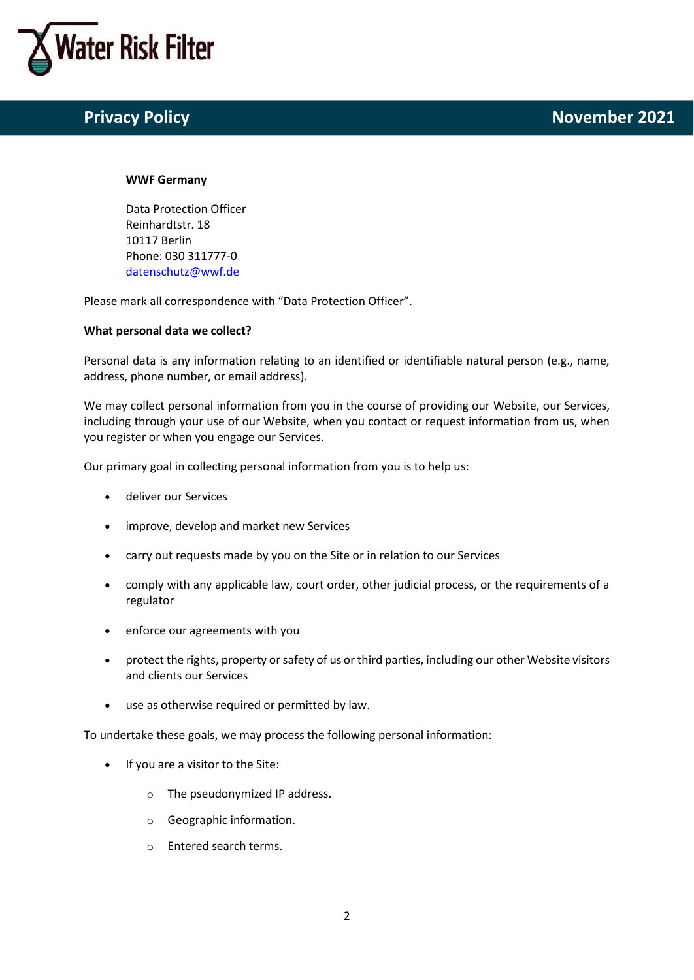

#### **WWF Germany**

Data Protection Officer Reinhardtstr. 18 10117 Berlin Phone: 030 311777-0 [datenschutz@wwf.de](mailto:datenschutz@wwf.de)

Please mark all correspondence with "Data Protection Officer".

# **What personal data we collect?**

Personal data is any information relating to an identified or identifiable natural person (e.g., name, address, phone number, or email address).

We may collect personal information from you in the course of providing our Website, our Services, including through your use of our Website, when you contact or request information from us, when you register or when you engage our Services.

Our primary goal in collecting personal information from you is to help us:

- deliver our Services
- improve, develop and market new Services
- carry out requests made by you on the Site or in relation to our Services
- comply with any applicable law, court order, other judicial process, or the requirements of a regulator
- enforce our agreements with you
- protect the rights, property or safety of us or third parties, including our other Website visitors and clients our Services
- use as otherwise required or permitted by law.

To undertake these goals, we may process the following personal information:

- If you are a visitor to the Site:
	- o The pseudonymized IP address.
	- o Geographic information.
	- o Entered search terms.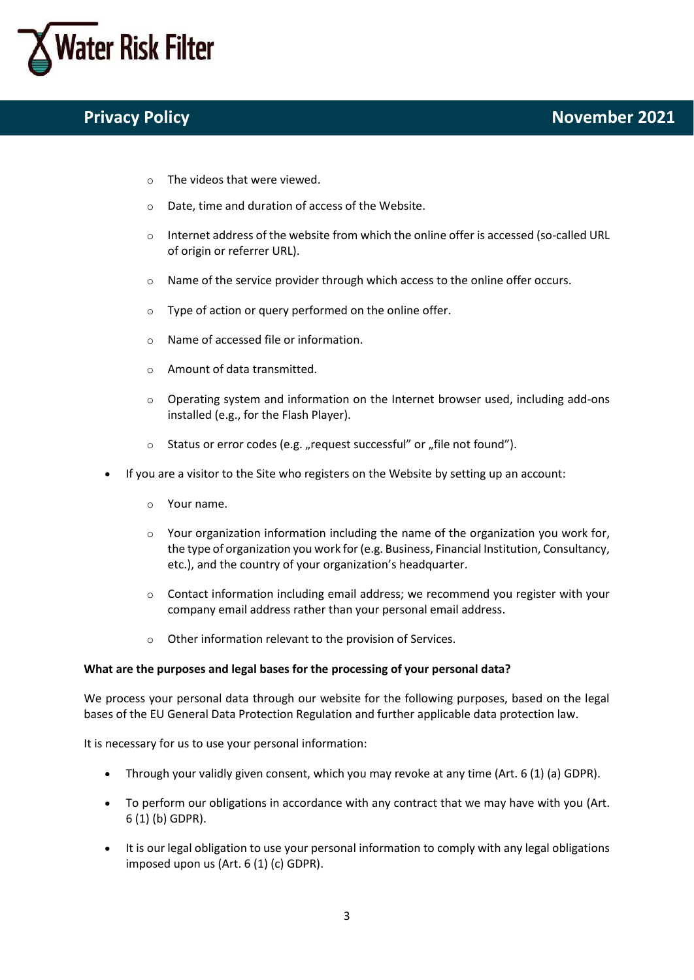

- o The videos that were viewed.
- o Date, time and duration of access of the Website.
- o Internet address of the website from which the online offer is accessed (so-called URL of origin or referrer URL).
- o Name of the service provider through which access to the online offer occurs.
- o Type of action or query performed on the online offer.
- o Name of accessed file or information.
- o Amount of data transmitted.
- $\circ$  Operating system and information on the Internet browser used, including add-ons installed (e.g., for the Flash Player).
- $\circ$  Status or error codes (e.g. "request successful" or "file not found").
- If you are a visitor to the Site who registers on the Website by setting up an account:
	- o Your name.
	- $\circ$  Your organization information including the name of the organization you work for, the type of organization you work for (e.g. Business, Financial Institution, Consultancy, etc.), and the country of your organization's headquarter.
	- $\circ$  Contact information including email address; we recommend you register with your company email address rather than your personal email address.
	- Other information relevant to the provision of Services.

# **What are the purposes and legal bases for the processing of your personal data?**

We process your personal data through our website for the following purposes, based on the legal bases of the EU General Data Protection Regulation and further applicable data protection law.

It is necessary for us to use your personal information:

- Through your validly given consent, which you may revoke at any time (Art. 6 (1) (a) GDPR).
- To perform our obligations in accordance with any contract that we may have with you (Art. 6 (1) (b) GDPR).
- It is our legal obligation to use your personal information to comply with any legal obligations imposed upon us (Art. 6 (1) (c) GDPR).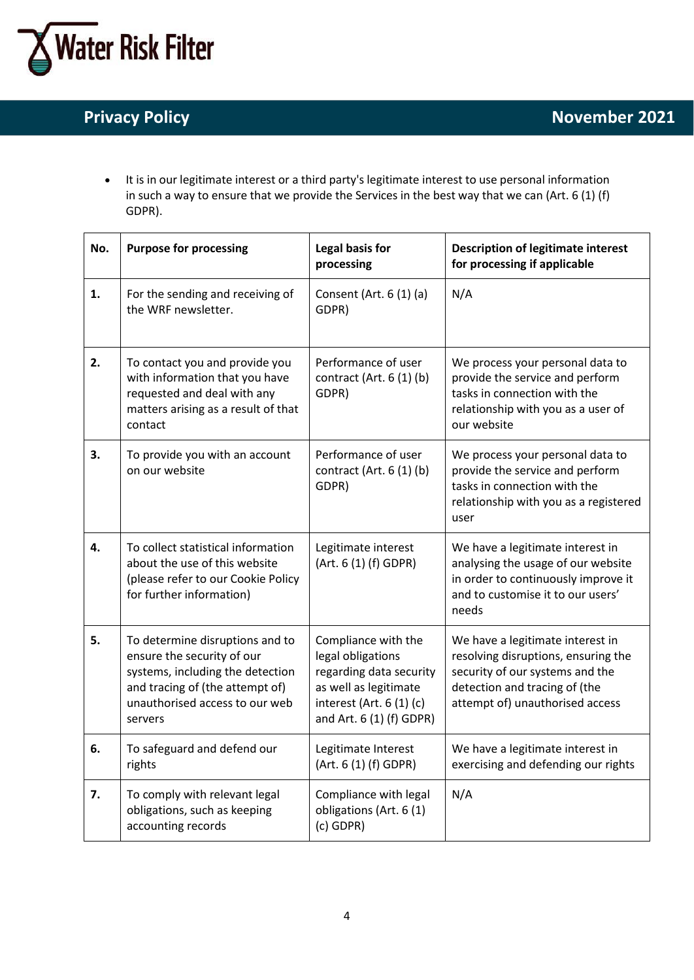

• It is in our legitimate interest or a third party's legitimate interest to use personal information in such a way to ensure that we provide the Services in the best way that we can (Art. 6 (1) (f) GDPR).

| No. | <b>Purpose for processing</b>                                                                                                                                                     | Legal basis for<br>processing                                                                                                                        | <b>Description of legitimate interest</b><br>for processing if applicable                                                                                                      |
|-----|-----------------------------------------------------------------------------------------------------------------------------------------------------------------------------------|------------------------------------------------------------------------------------------------------------------------------------------------------|--------------------------------------------------------------------------------------------------------------------------------------------------------------------------------|
| 1.  | For the sending and receiving of<br>the WRF newsletter.                                                                                                                           | Consent (Art. 6 (1) (a)<br>GDPR)                                                                                                                     | N/A                                                                                                                                                                            |
| 2.  | To contact you and provide you<br>with information that you have<br>requested and deal with any<br>matters arising as a result of that<br>contact                                 | Performance of user<br>contract (Art. $6(1)(b)$<br>GDPR)                                                                                             | We process your personal data to<br>provide the service and perform<br>tasks in connection with the<br>relationship with you as a user of<br>our website                       |
| 3.  | To provide you with an account<br>on our website                                                                                                                                  | Performance of user<br>contract (Art. $6(1)(b)$<br>GDPR)                                                                                             | We process your personal data to<br>provide the service and perform<br>tasks in connection with the<br>relationship with you as a registered<br>user                           |
| 4.  | To collect statistical information<br>about the use of this website<br>(please refer to our Cookie Policy<br>for further information)                                             | Legitimate interest<br>(Art. 6 (1) (f) GDPR)                                                                                                         | We have a legitimate interest in<br>analysing the usage of our website<br>in order to continuously improve it<br>and to customise it to our users'<br>needs                    |
| 5.  | To determine disruptions and to<br>ensure the security of our<br>systems, including the detection<br>and tracing of (the attempt of)<br>unauthorised access to our web<br>servers | Compliance with the<br>legal obligations<br>regarding data security<br>as well as legitimate<br>interest (Art. 6 (1) (c)<br>and Art. 6 (1) (f) GDPR) | We have a legitimate interest in<br>resolving disruptions, ensuring the<br>security of our systems and the<br>detection and tracing of (the<br>attempt of) unauthorised access |
| 6.  | To safeguard and defend our<br>rights                                                                                                                                             | Legitimate Interest<br>(Art. 6 (1) (f) GDPR)                                                                                                         | We have a legitimate interest in<br>exercising and defending our rights                                                                                                        |
| 7.  | To comply with relevant legal<br>obligations, such as keeping<br>accounting records                                                                                               | Compliance with legal<br>obligations (Art. 6(1)<br>$(c)$ GDPR)                                                                                       | N/A                                                                                                                                                                            |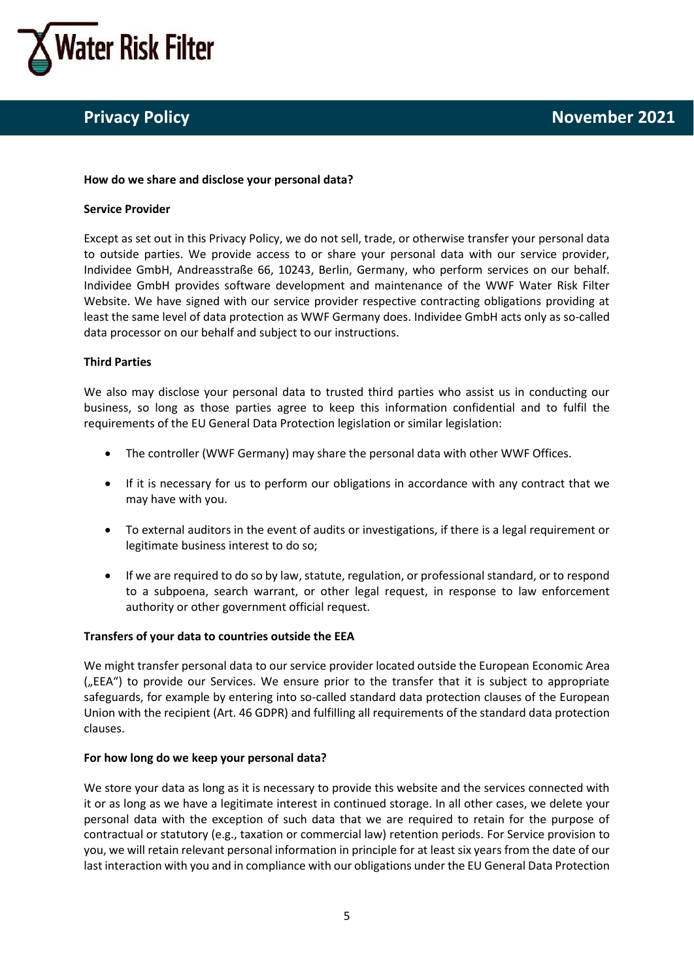

#### **How do we share and disclose your personal data?**

#### **Service Provider**

Except as set out in this Privacy Policy, we do not sell, trade, or otherwise transfer your personal data to outside parties. We provide access to or share your personal data with our service provider, Individee GmbH, Andreasstraße 66, 10243, Berlin, Germany, who perform services on our behalf. Individee GmbH provides software development and maintenance of the WWF Water Risk Filter Website. We have signed with our service provider respective contracting obligations providing at least the same level of data protection as WWF Germany does. Individee GmbH acts only as so-called data processor on our behalf and subject to our instructions.

# **Third Parties**

We also may disclose your personal data to trusted third parties who assist us in conducting our business, so long as those parties agree to keep this information confidential and to fulfil the requirements of the EU General Data Protection legislation or similar legislation:

- The controller (WWF Germany) may share the personal data with other WWF Offices.
- If it is necessary for us to perform our obligations in accordance with any contract that we may have with you.
- To external auditors in the event of audits or investigations, if there is a legal requirement or legitimate business interest to do so;
- If we are required to do so by law, statute, regulation, or professional standard, or to respond to a subpoena, search warrant, or other legal request, in response to law enforcement authority or other government official request.

# **Transfers of your data to countries outside the EEA**

We might transfer personal data to our service provider located outside the European Economic Area  $($ "EEA") to provide our Services. We ensure prior to the transfer that it is subject to appropriate safeguards, for example by entering into so-called standard data protection clauses of the European Union with the recipient (Art. 46 GDPR) and fulfilling all requirements of the standard data protection clauses.

# **For how long do we keep your personal data?**

We store your data as long as it is necessary to provide this website and the services connected with it or as long as we have a legitimate interest in continued storage. In all other cases, we delete your personal data with the exception of such data that we are required to retain for the purpose of contractual or statutory (e.g., taxation or commercial law) retention periods. For Service provision to you, we will retain relevant personal information in principle for at least six years from the date of our last interaction with you and in compliance with our obligations under the EU General Data Protection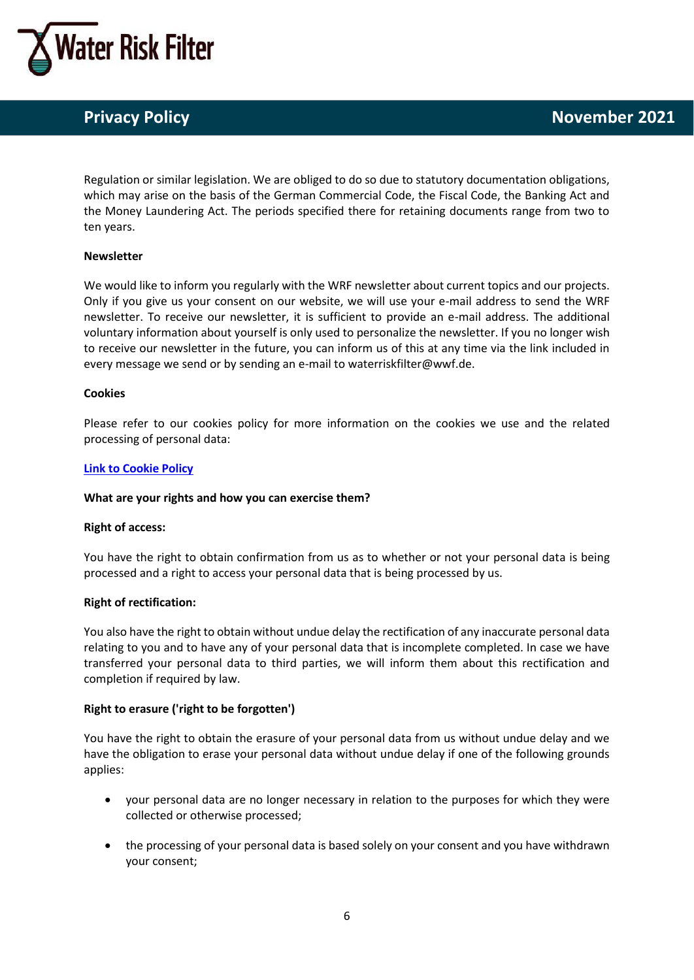

Regulation or similar legislation. We are obliged to do so due to statutory documentation obligations, which may arise on the basis of the German Commercial Code, the Fiscal Code, the Banking Act and the Money Laundering Act. The periods specified there for retaining documents range from two to ten years.

# **Newsletter**

We would like to inform you regularly with the WRF newsletter about current topics and our projects. Only if you give us your consent on our website, we will use your e-mail address to send the WRF newsletter. To receive our newsletter, it is sufficient to provide an e-mail address. The additional voluntary information about yourself is only used to personalize the newsletter. If you no longer wish to receive our newsletter in the future, you can inform us of this at any time via the link included in every message we send or by sending an e-mail to waterriskfilter@wwf.de.

#### **Cookies**

Please refer to our cookies policy for more information on the cookies we use and the related processing of personal data:

# **[Link to Cookie Policy](https://waterriskfilter.org/assets/documents/WRF_Cookie_Policy.pdf)**

# **What are your rights and how you can exercise them?**

# **Right of access:**

You have the right to obtain confirmation from us as to whether or not your personal data is being processed and a right to access your personal data that is being processed by us.

# **Right of rectification:**

You also have the right to obtain without undue delay the rectification of any inaccurate personal data relating to you and to have any of your personal data that is incomplete completed. In case we have transferred your personal data to third parties, we will inform them about this rectification and completion if required by law.

# **Right to erasure ('right to be forgotten')**

You have the right to obtain the erasure of your personal data from us without undue delay and we have the obligation to erase your personal data without undue delay if one of the following grounds applies:

- your personal data are no longer necessary in relation to the purposes for which they were collected or otherwise processed;
- the processing of your personal data is based solely on your consent and you have withdrawn your consent;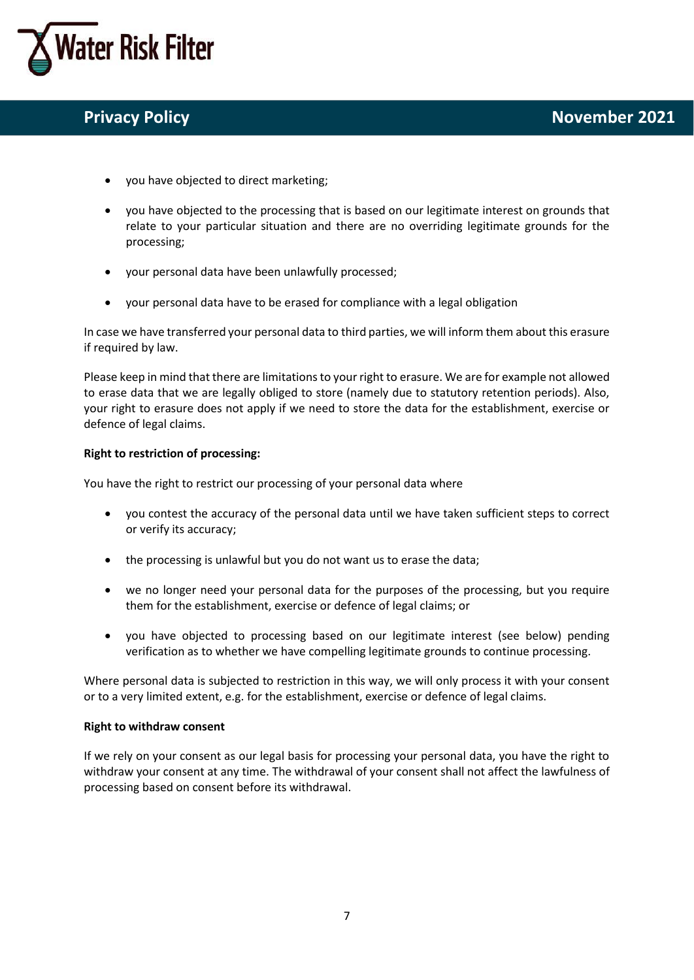

- you have objected to direct marketing;
- you have objected to the processing that is based on our legitimate interest on grounds that relate to your particular situation and there are no overriding legitimate grounds for the processing;
- your personal data have been unlawfully processed;
- your personal data have to be erased for compliance with a legal obligation

In case we have transferred your personal data to third parties, we will inform them about this erasure if required by law.

Please keep in mind that there are limitations to your right to erasure. We are for example not allowed to erase data that we are legally obliged to store (namely due to statutory retention periods). Also, your right to erasure does not apply if we need to store the data for the establishment, exercise or defence of legal claims.

# **Right to restriction of processing:**

You have the right to restrict our processing of your personal data where

- you contest the accuracy of the personal data until we have taken sufficient steps to correct or verify its accuracy;
- the processing is unlawful but you do not want us to erase the data;
- we no longer need your personal data for the purposes of the processing, but you require them for the establishment, exercise or defence of legal claims; or
- you have objected to processing based on our legitimate interest (see below) pending verification as to whether we have compelling legitimate grounds to continue processing.

Where personal data is subjected to restriction in this way, we will only process it with your consent or to a very limited extent, e.g. for the establishment, exercise or defence of legal claims.

# **Right to withdraw consent**

If we rely on your consent as our legal basis for processing your personal data, you have the right to withdraw your consent at any time. The withdrawal of your consent shall not affect the lawfulness of processing based on consent before its withdrawal.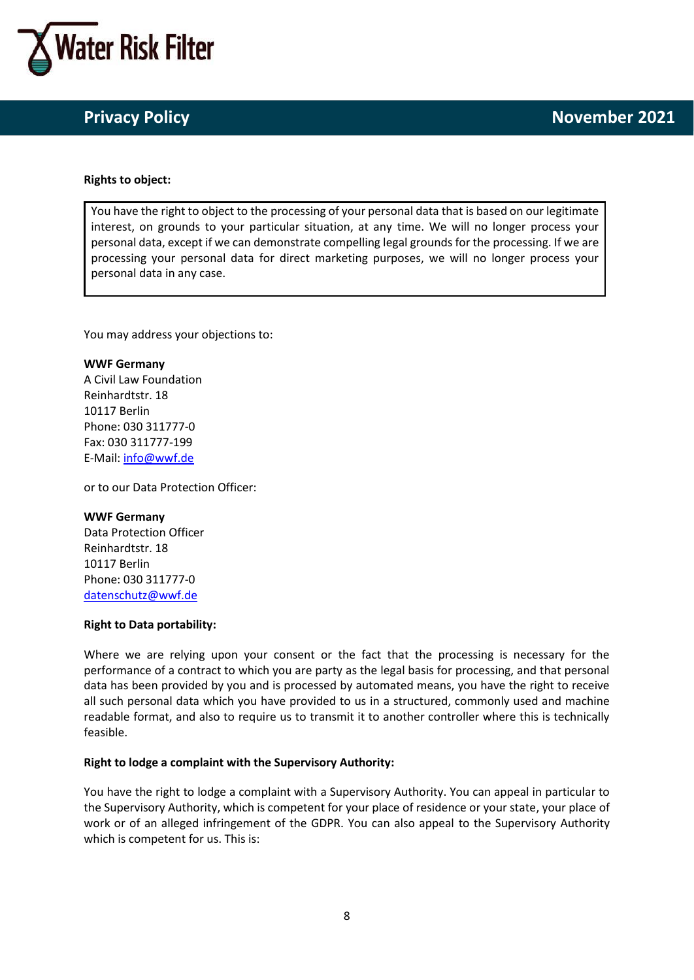

#### **Rights to object:**

You have the right to object to the processing of your personal data that is based on our legitimate interest, on grounds to your particular situation, at any time. We will no longer process your personal data, except if we can demonstrate compelling legal grounds for the processing. If we are processing your personal data for direct marketing purposes, we will no longer process your personal data in any case.

You may address your objections to:

**WWF Germany** A Civil Law Foundation Reinhardtstr. 18 10117 Berlin Phone: 030 311777-0 Fax: 030 311777-199 E-Mail: [info@wwf.de](mailto:info@wwf.de)

or to our Data Protection Officer:

#### **WWF Germany**

Data Protection Officer Reinhardtstr. 18 10117 Berlin Phone: 030 311777-0 [datenschutz@wwf.de](mailto:datenschutz@wwf.de)

#### **Right to Data portability:**

Where we are relying upon your consent or the fact that the processing is necessary for the performance of a contract to which you are party as the legal basis for processing, and that personal data has been provided by you and is processed by automated means, you have the right to receive all such personal data which you have provided to us in a structured, commonly used and machine readable format, and also to require us to transmit it to another controller where this is technically feasible.

# **Right to lodge a complaint with the Supervisory Authority:**

You have the right to lodge a complaint with a Supervisory Authority. You can appeal in particular to the Supervisory Authority, which is competent for your place of residence or your state, your place of work or of an alleged infringement of the GDPR. You can also appeal to the Supervisory Authority which is competent for us. This is: